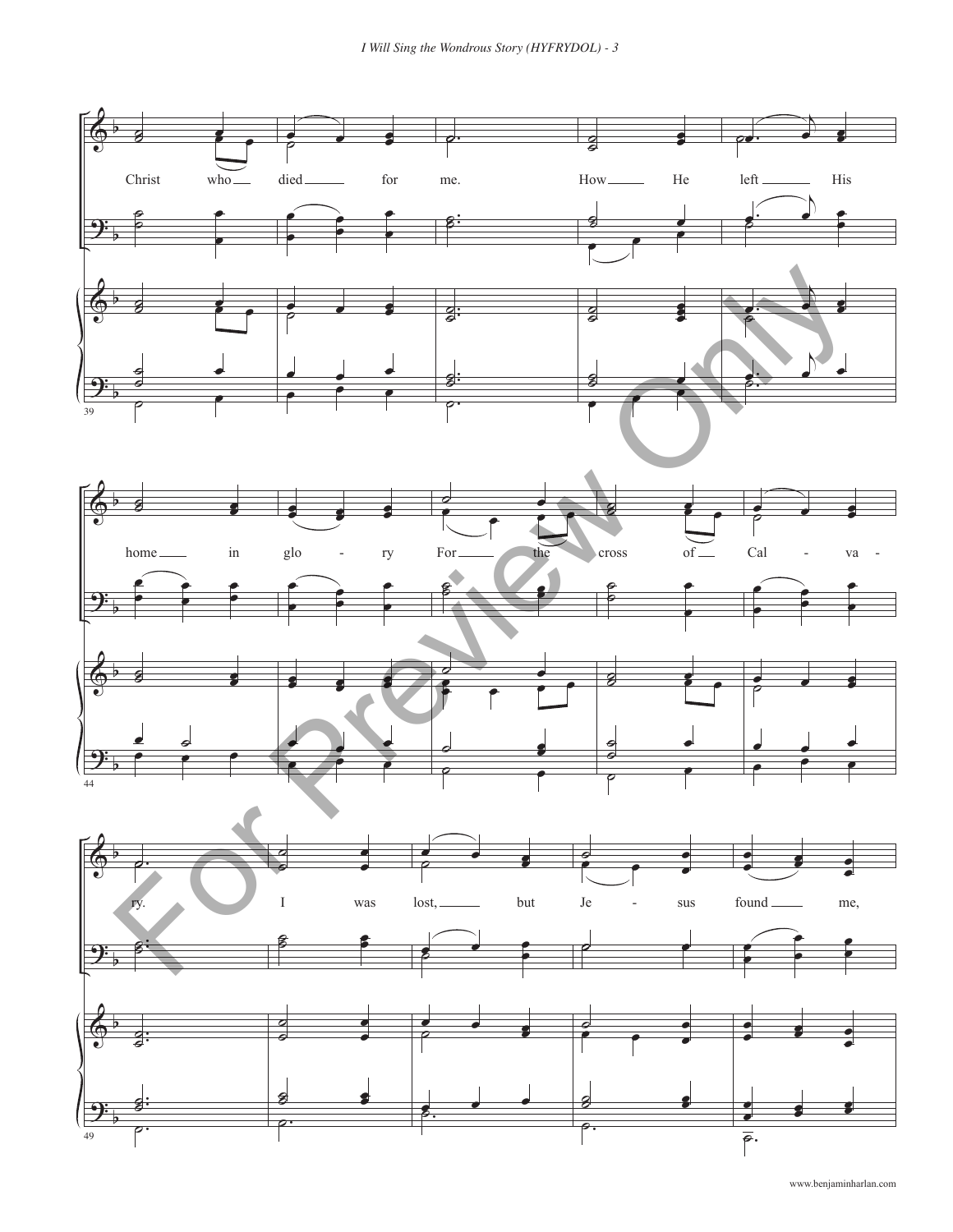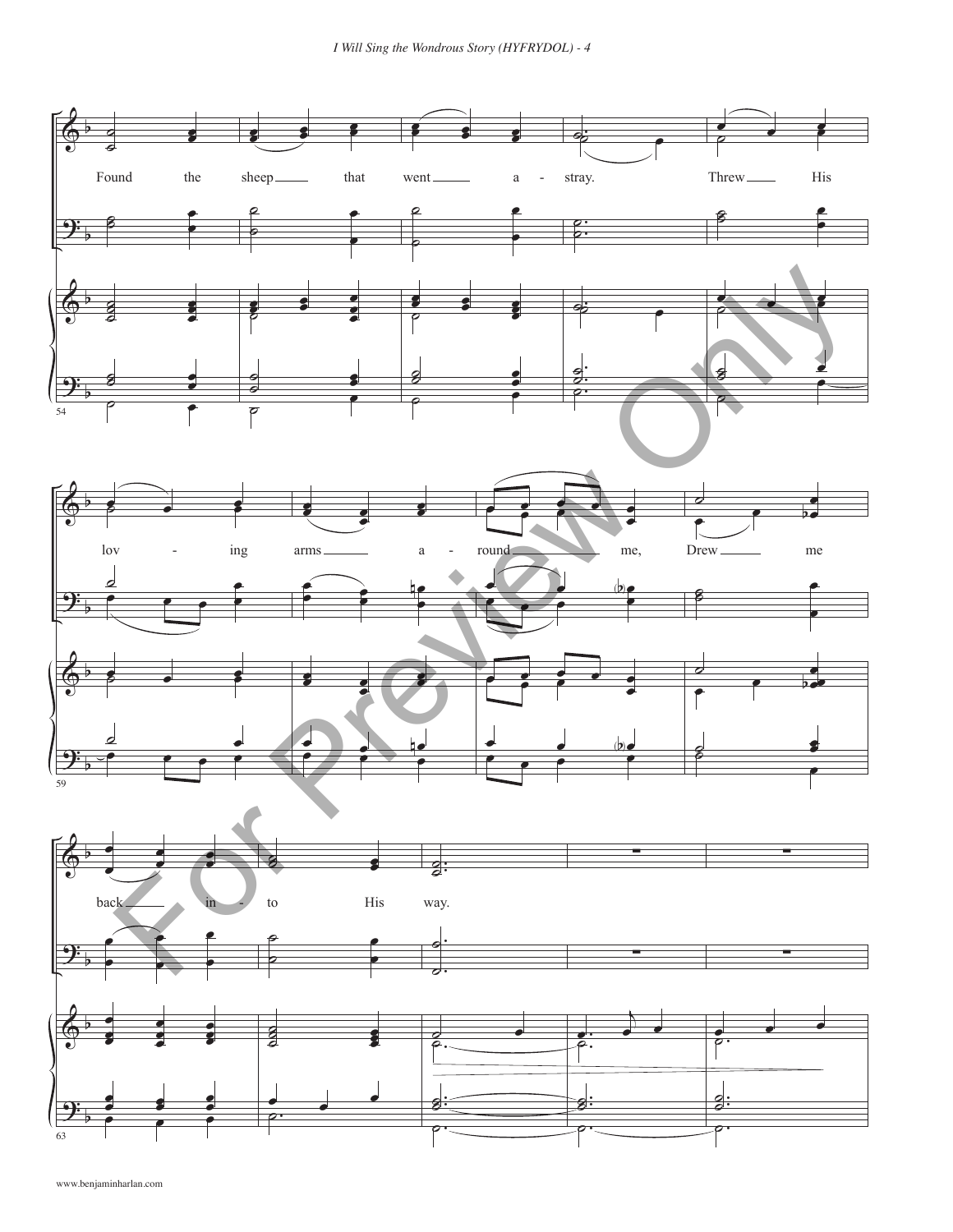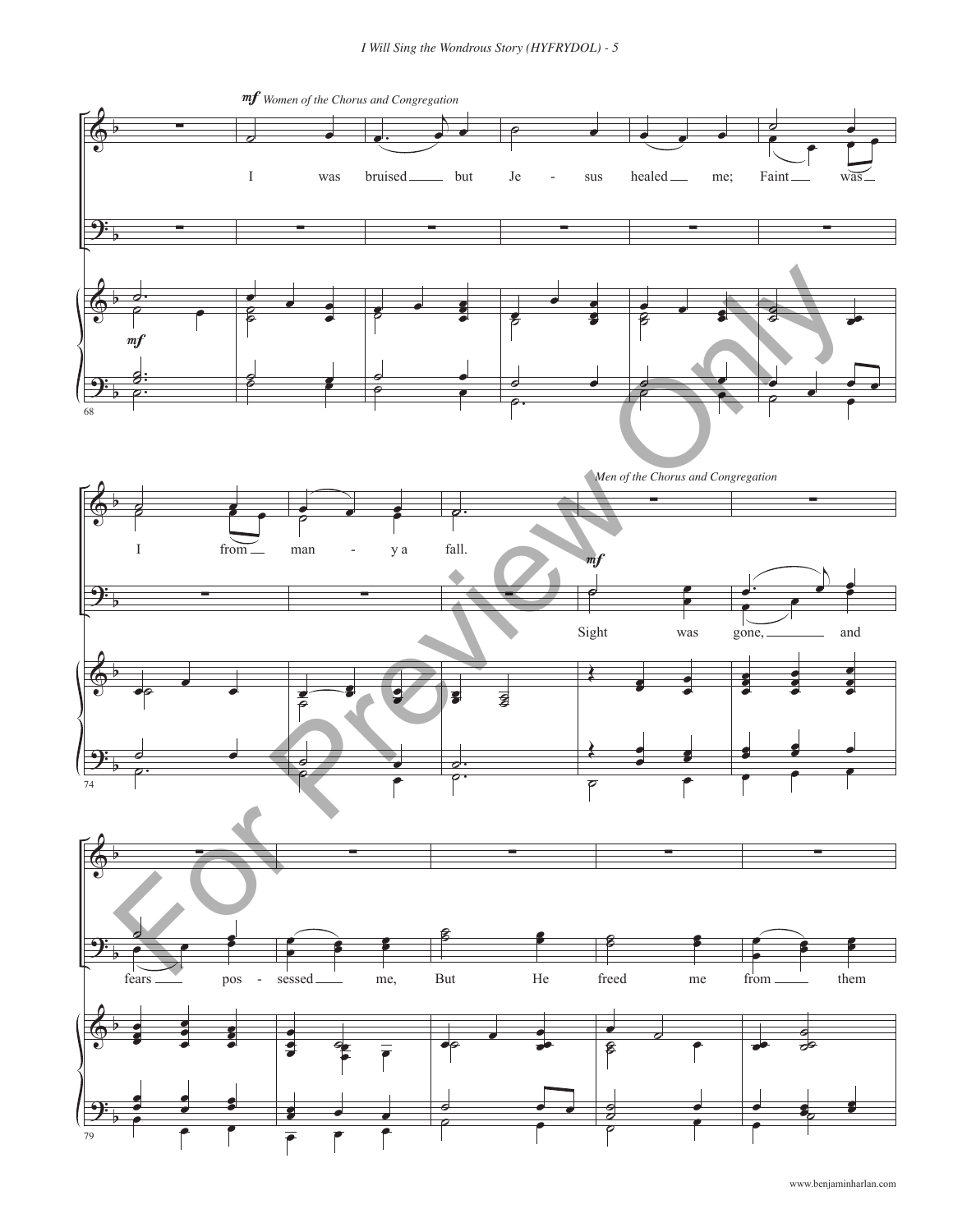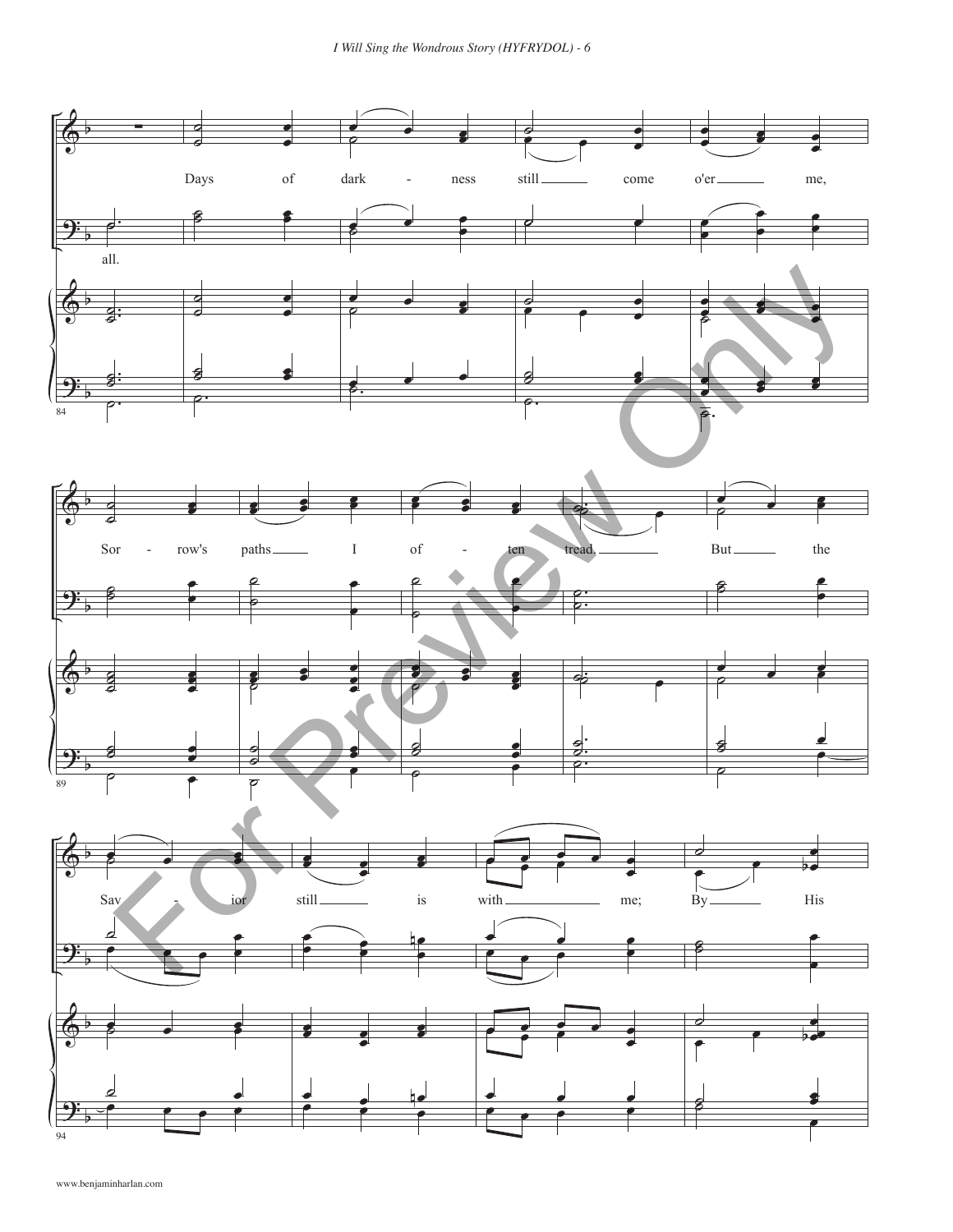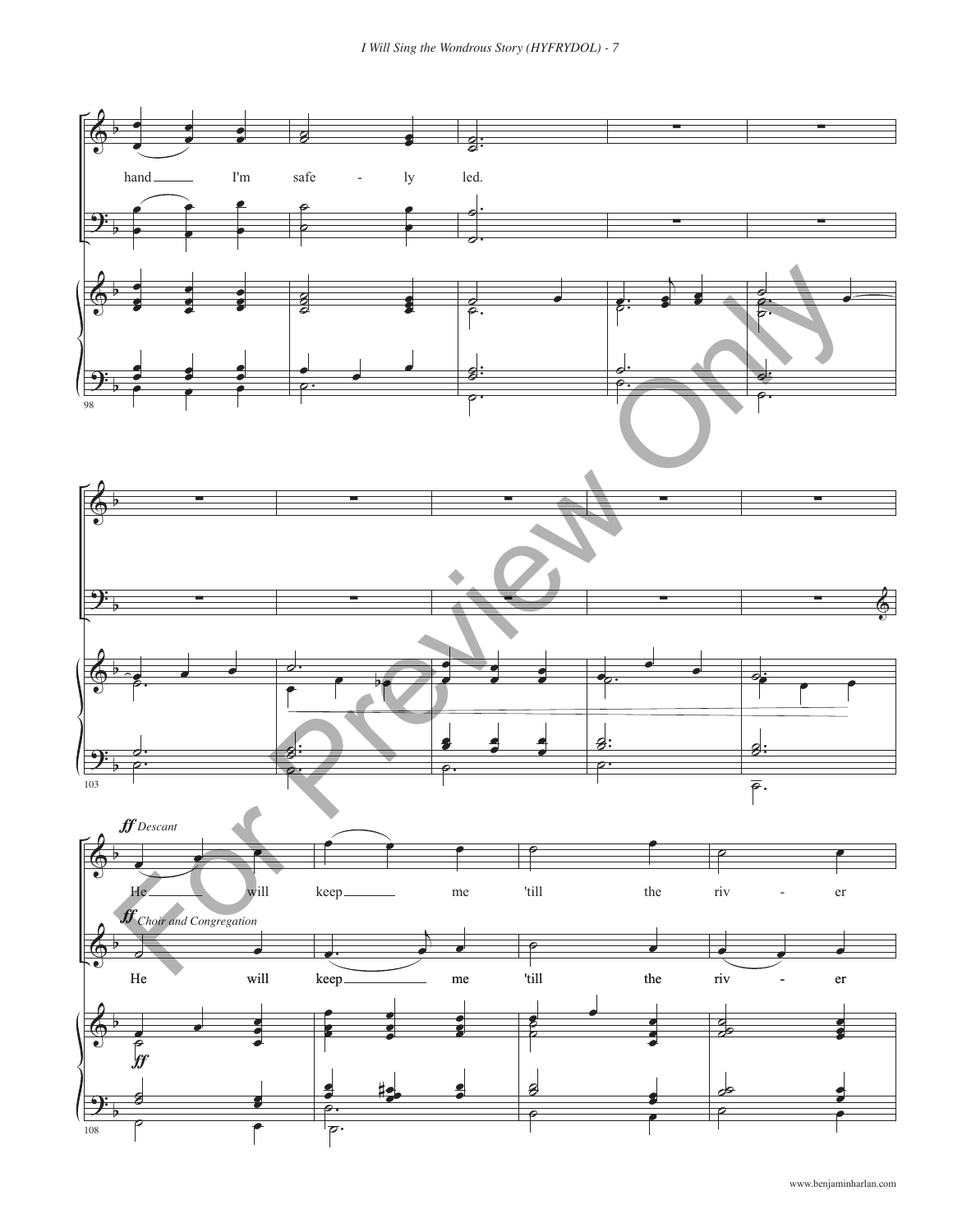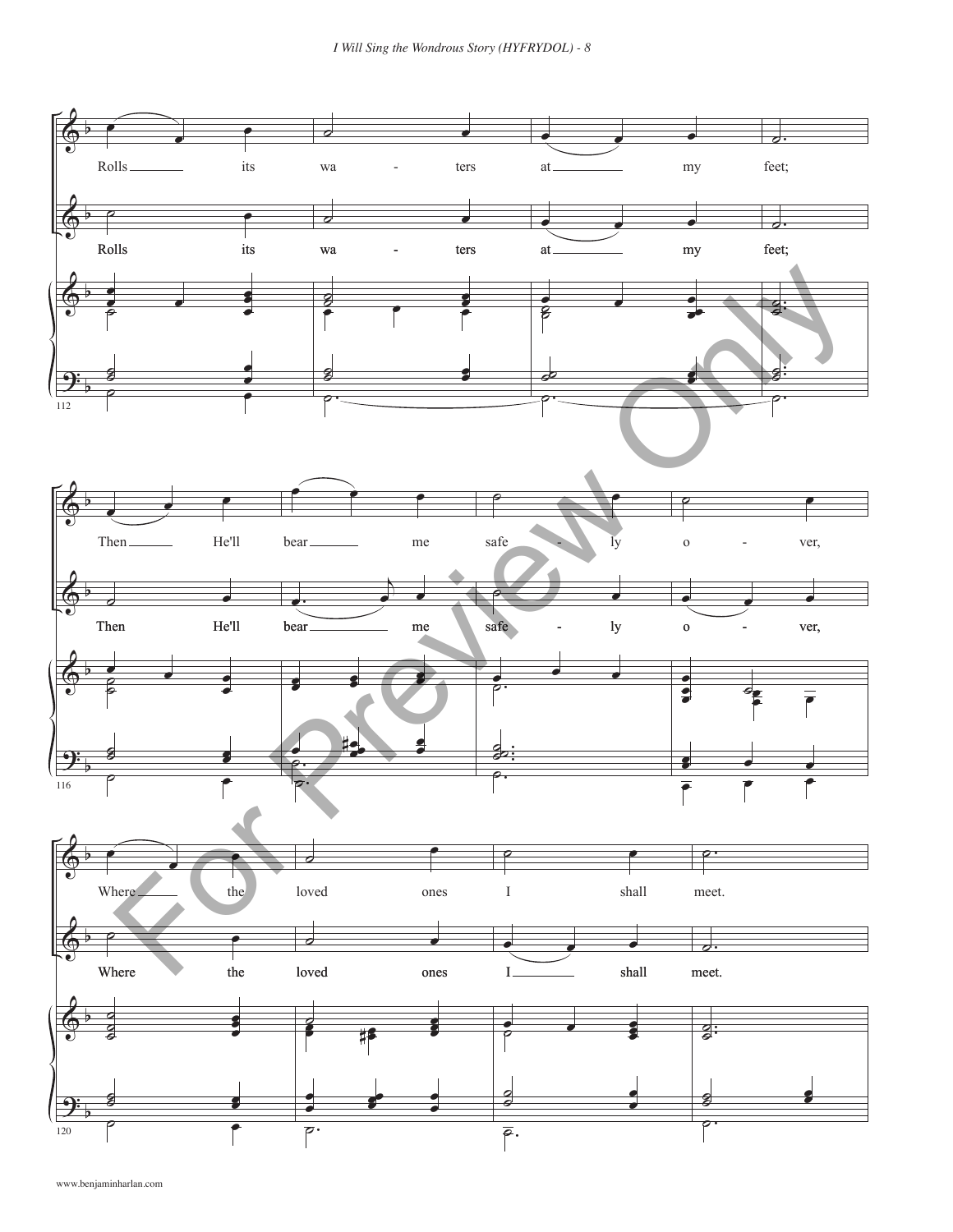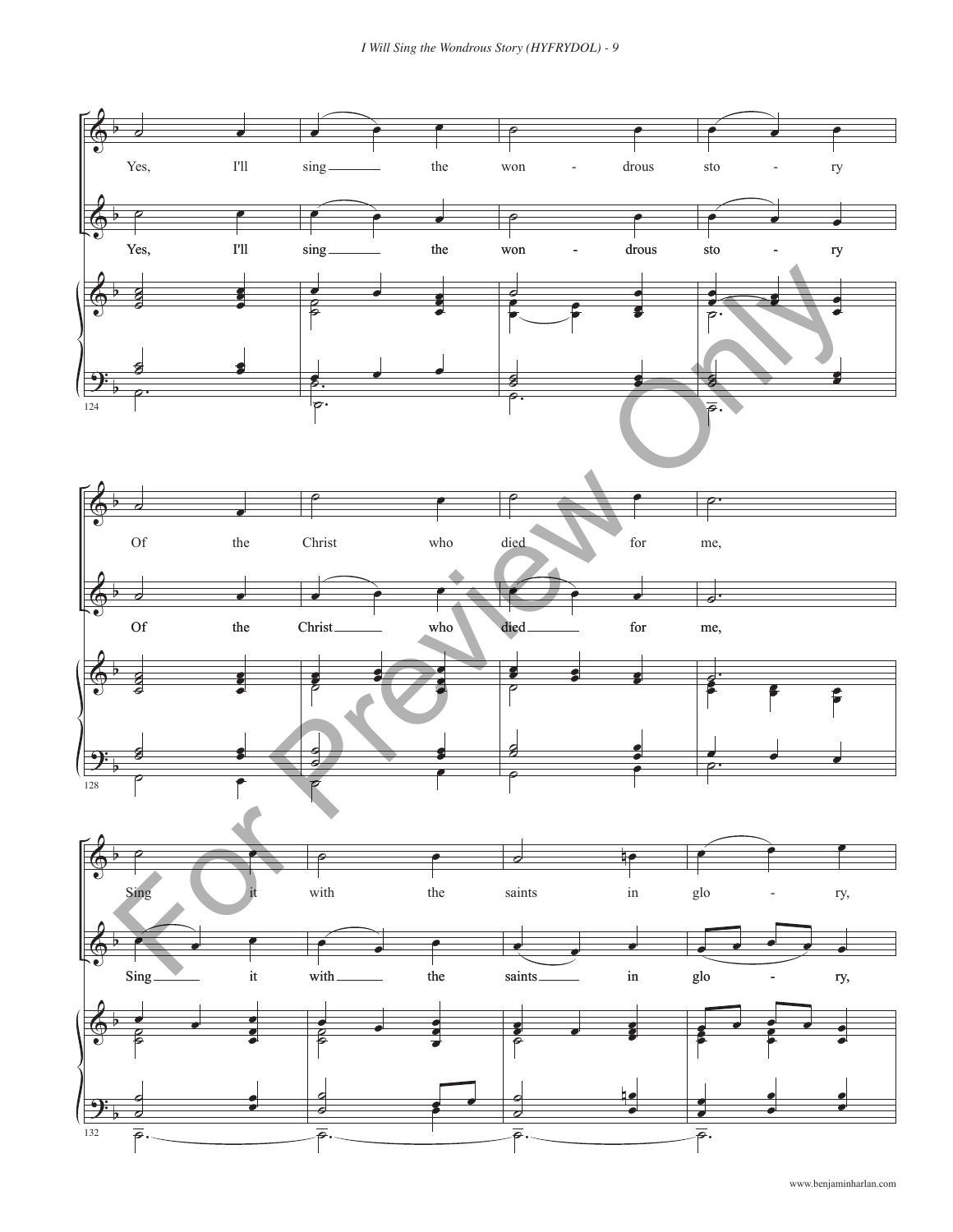